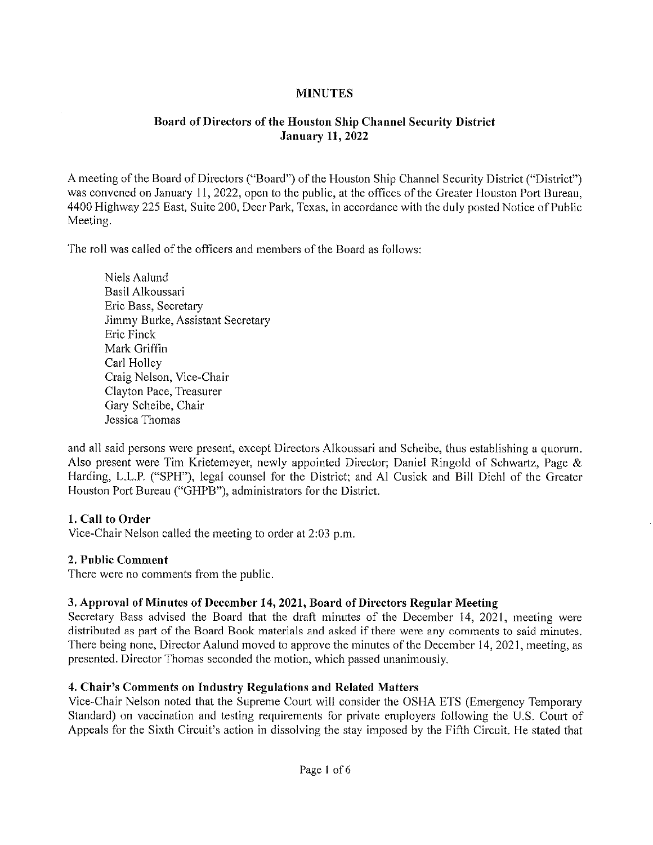### **MINUTES**

# Board of Directors of the Houston Ship Channel Security District January 11,2022

A meeting of the Board of Directors ("Board") of the Houston Ship Channel Security District ("District") was convened on January 11, 2022, open to the public, at the offices of the Greater Houston Port Bureau, 4400 Highway 225 East, Suite 200, Deer Park, Texas, in accordance with the duly posted Notice of Public Meeting.

The roll was called of the officers and members of the Board as foiiows:

NielsAalund Basil Alkoussari Erie Bass, Secretary Jimmy Burke, Assistant Secretary Eric Finck Mark Griffin Carl Holley Craig Nelson, Vice-Chair CIayton Pace, Treasurer Gary Scheibe, Chair Jessica Thomas

and all said persons were present, except Directors Alkoussari and Scheibe, thus establishing a quorum. Also present were Tim Krietemeyer, newly appointed Director; Daniel Ringold of Schwartz, Page & Harding, L.L.P. ("SPH"), legal counsel for the District; and Al Cusick and Bill Diehl of the Greater Houston Port Bureau ("GHPB"), administrators for the District.

### 1. Call to Order

Vice-Chair Nelson called the meeting to order at 2:03 p.m.

### 2. Public Comment

There were no comments from the public.

### 3. Approval of Minutes of December 14, 2021, Board of Directors Regular Meeting

Secretary Bass advised the Board that the draft minutes of the December 14, 2021, meeting were distributed as part of the Board Book materials and asked if there were any comments to said minutes. There being none. Director Aalund moved to approve the minutes ofthe December 14, 2021, meeting, as presented. Director Thomas seconded the motion, which passed unanimously.

### 4. Chair's Comments on Industry Regulations and Related Matters

Vice-Chair Nelson noted that the Supreme Court will consider the OSHA ETS (Emergency Temporary Standard) on vaccination and testing requirements for private employers following the US. Court of Appeals for the Sixth Circuit's action in dissolving the stay imposed by the Fifth Circuit. He stated that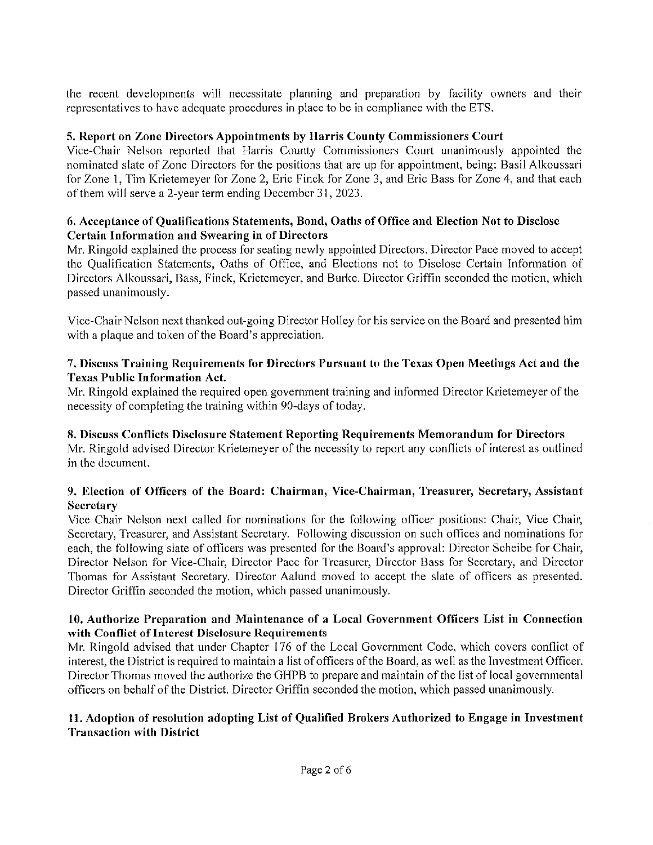the recent developments will necessitate planning and preparation by facility owners and their representatives to have adequate procedures in place to be in compliance with the ETS.

# 5. Report on Zone Directors Appointments by Harris County Commissioners Court

Vice-Chair Nelson reported that Harris County Commissioners Court unanimously appointed the nominated slate of Zone Directors for the positions that are up for appointment, being: Basil Alkoussari for Zone 1, Tim Krietemeyer for Zone 2, Eric Finck for Zone 3, and Eric Bass for Zone 4, and that each of them will serve a 2-year term ending December 31, 2023.

## 6. Acceptance of Qualifications Statements, Bond, Oaths of Office and Election Not to Disclose Certain Information and Swearing in of Directors

Mr. Ringold explained the process for seating newly appointed Directors. Director Pace moved to accept the Qualification Statements, Oaths of Office, and Elections not to Disclose Certain Information of Directors Alkoussari, Bass, Finck, Krictemeyer, and Burke. Director Griffin seconded the motion, which passed unanimously.

Vice-Chair Nelson next thanked out-going Director Holley for his service on the Board and presented him with a plaque and token of the Board's appreciation.

## 7. Discuss Training Requirements for Directors Pursuant to the Texas Open Meetings Act and the Texas Public Information Act.

Mr. Rlngold explained the required open government training and informed Director Krietemeyer of the necessity of completing the training within 90-days of today.

# 8. Discuss Conflicts Disclosure Statement Reporting Requirements Memorandum for Directors

Mr. Ringold advised Director Krietemeyer of the necessity to report any conflicts of interest as outlined in the document.

# 9. Election of Officers of the Board: Chairman, Vice-chairman, Treasurer, Secretary, Assistant Secretary

Vice Chair Nelson next called for nominations for the following officer positions: Chair, Vice Chair, Secretary, Treasurer, and Assistant Secretary. Following discussion on such offices and nominations for each, the following slate of officers was presented for the Board's approval: Director Scheibe for Chair, Director Nelson for Vice-Chair, Director Pace for Treasurer, Director Bass for Secretary, and Director Thomas for Assistant Secretary. Director Aalund moved to accept the slate of officers as presented. Director Griffin seconded the motion, which passed unanimously.

# 10. Authorize Preparation and Maintenance of a Local Government Officers List in Connection with Conflict of Interest Disclosure Requirements

Mr. Ringold advised that under Chapter 176 of the Local Government Code, which covers conflict of interest, the District is required to maintain a list of officers of the Board, as well as the Investment Officer. Director Thomas moved the authorize the GHPB to prepare and maintain of the list of local governmental officers on behalf of the District. Director Griffin seconded the motion, which passed unanimously.

# 11. Adoption of resolution adopting List of Qualified Brokers Authorized to Engage in Investment Transaction with District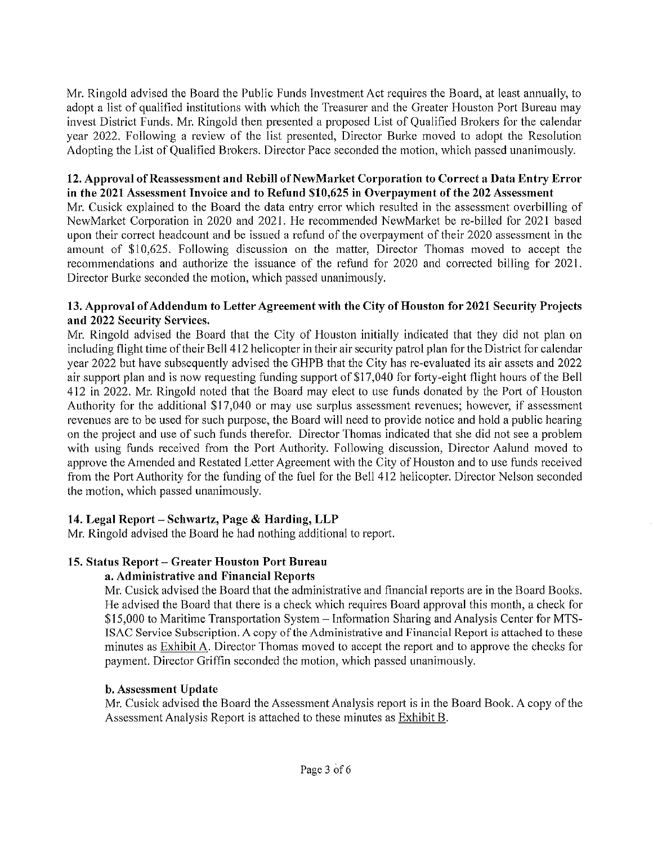Mr. Ringold advised the Board the Public Funds Investment Act requires the Board, at least annually, to adopt a list of qualified institutions with which the Treasurer and the Greater Houston Port Bureau may invest District Funds. Mr. Ringold then presented a proposed List of Qualified Brokers for the calendar year 2022. Following a review of the list presented, Director Burke moved to adopt the Resolution Adopting the List of Qualified Brokers. Director Pace seconded the motion, which passed unanimously.

### 12. Approval of Reassessment and Rebill of NewMarket Corporation to Correct a Data Entry Error in the 2021 Assessment Invoice and to Refund \$10,625 in Overpayment of the 202 Assessment

Mr. Cusick explained to the Board the data entry error which resulted in the assessment overbilling of NewMarket Corporation In 2020 and 2021. He recommended NewMarket be re-billed for 2021 based upon their correct headcount and be issued a refund of the overpayment of their 2020 assessment in the amount of \$10,625. Following discussion on the matter, Director Thomas moved to accept the recommendations and authorize the issuance of the refund for 2020 and corrected billing for 2021. Director Burke seconded the motion, which passed unanimously.

## 13. Approval of Addendum to Letter Agreement with the City of Houston for 2021 Security Projects and 2022 Security Services.

Mr. Ringold advised the Board that the City of Houston initially indicated that they did not plan on including flight time of their Bell 412 helicopter in their air security patrol plan for the District for calendar year 2022 but have subsequently advised the GHPB that the City has re-evaJuated its air assets and 2022 air support plan and is now requesting funding support of \$17,040 for forty-eight flight hours of the Bel] 412 in 2022. Mr. Ringold noted that the Board may elect to use funds donated by the Port of Houston Authority for the additional \$17,040 or may use surplus assessment revenues; however, if assessment revenues are to be used for such purpose, the Board will need to provide notice and hold a public hearing on the project and use of such funds therefor. Director Thomas indicated that she did not see a problem with using funds received from the Port Authority. Following discussion, Director Aalund moved to approve the Amended and Restated Letter Agreement with the City of Houston and to use funds received from the Port Authority for the funding of the fuel for the Bell 412 helicopter. Director Nelson seconded the motion, which passed unanimously.

# 14. Legal Report - Schwartz, Page & Harding, LLP

Mr. Ringold advised the Board he had nothing additional to report.

### 15. Status Report - Greater Houston Port Bureau

### a. Administrative and Financial Reports

Mr. Cusick advised the Board that the administrative and financial reports are in the Board Books. He advised the Board that there is a check which requires Board approval this month, a check for \$15,000 to Maritime Transportation System - Information Sharing and Analysis Center for MTS-ISAC Service Subscription. A copy of the Administrative and Financial Report is attached to these minutes as Exhibit A. Director Thomas moved to accept the report and to approve the checks for payment. Director Griffin seconded the motion, which passed unanimously.

### b. Assessment Update

Mr. Cusick advised the Board the Assessment Analysis report is in the Board Book. A copy of the Assessment Analysis Report is attached to these minutes as Exhibit B.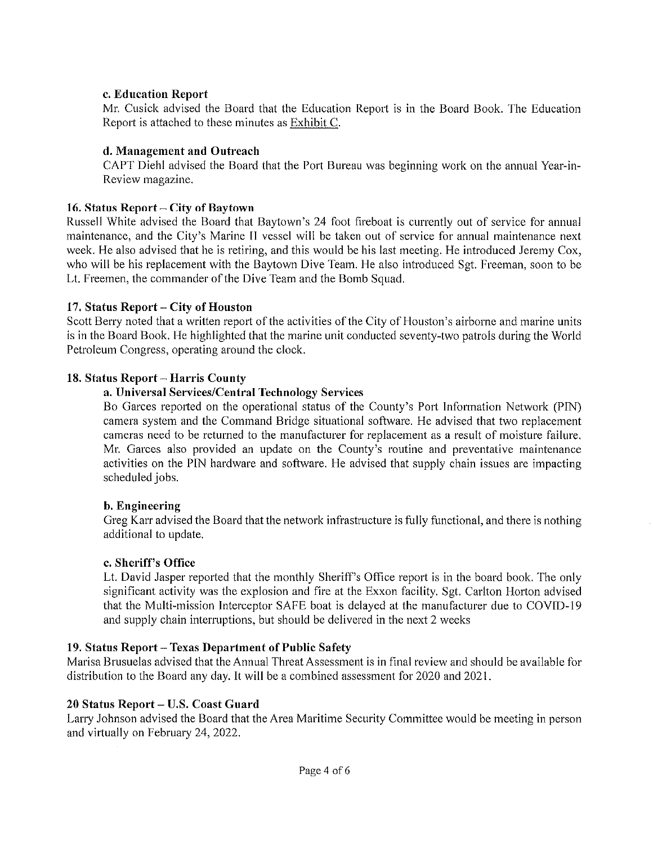# c. Education Report

Mr. Cusick advised the Board that the Education Report is in the Board Book. The Education Report is attached to these minutes as Exhibit C.

# d. Management and Outreach

CAPT Diehl advised the Board that the Port Bureau was beginning work on the annual Year-in-Review magazine.

# 16. Status Report  $-$  City of Baytown

Russell White advised the Board that Baytown's 24 foot fireboat is currently out of service for annual maintenance, and the City's Marine II vessel will be taken out of service for annual maintenance next week. He also advised that he is retiring, and this would be his last meeting. He introduced Jeremy Cox, who will be his replacement with the Baytown Dive Team. He also introduced Sgt. Freeman, soon to be Lt. Freemen, the commander of the Dive Team and the Bomb Squad.

# 17. Status Report – City of Houston

Scott Berry noted that a written report of the activities of the City of Houston's airborne and marine units is in the Board Book. He highlighted that the marine unit conducted seventy-two patrols during the World Petroleum Congress, operating around the clock.

# 18. Status Report – Harris County

# a. Universal Services/CentraI Technology Services

Bo Garces reported on the operational status of the County's Port Information Network (PIN) camera system and the Command Bridge situational software. He advised that two replacement cameras need to be returned to the manufacturer for replacement as a result of moisture failure. Mr. Garces also provided an update on the County's routine and preventative maintenance activities on the PIN hardware and software. He advised that supply chain issues are impacting scheduled jobs.

### b. Engineering

Greg Karr advised the Board that the network infrastructure is fully functional, and there is nothing additional to update.

### c. Sheriff's Office

Lt. David Jasper reported that the monthly Sheriff's Office report is in the board book. The only significant activity was the explosion and fire at the Exxon facility. Sgt. Carlton Horton advised that the Multi-mission Interceptor SAFE boat is delayed at the manufacturer due to COVID-19 and supply chain interruptions, but should be delivered in the next 2 weeks

### 19. Status Report - Texas Department of Public Safety

Marisa Brusuelas advised that the Annual Threat Assessment is in final review and should be available for distribution to the Board any day. It will be a combined assessment for 2020 and 2021.

### 20 Status Report - U.S. Coast Guard

Larry Johnson advised the Board that the Area Maritime Security Committee would be meeting in person and virtually on February 24, 2022.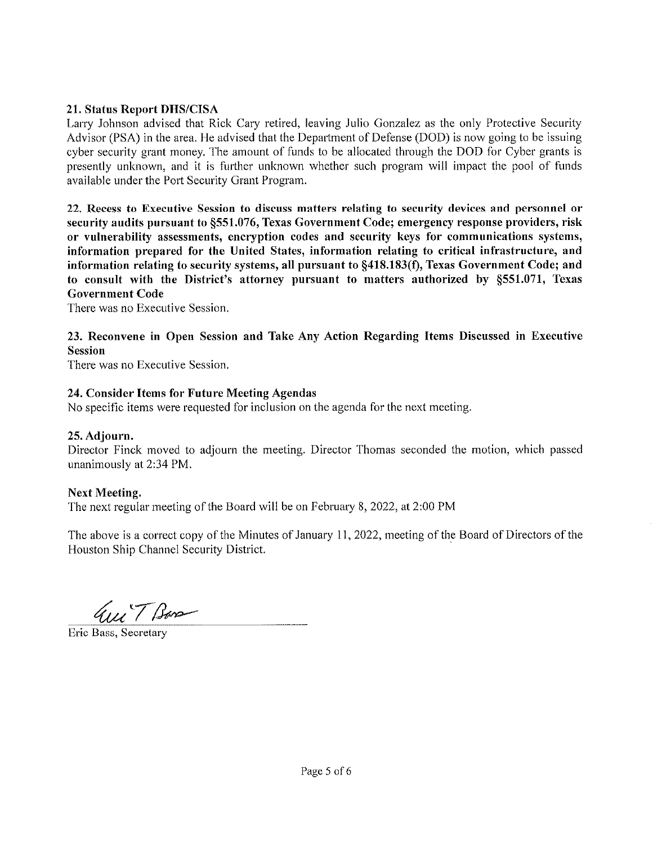# 21. Status Report DHS/CISA

Larry Johnson advised that Rick Gary retired, leaving Julio Gonzalez as the only Protective Security Advisor (PSA) in the area. He advised that the Department of Defense (DOD) is now going to be issuing cyber security grant money. The amount of funds to be allocated through the DOD for Cyber grants is presently unknown, and it is further unknown whether such program will impact the pool of funds available under the Port Security Grant Program.

22. Recess to Executive Session to discuss matters relating to security devices and personnel or security audits pursuant to §551.076, Texas Government Code; emergency response providers, risk or vulnerability assessments, encryption codes and security keys for communications systems, information prepared for the United States, information relating to critical infrastructure, and information relating to security systems, all pursuant to  $\S418.183(f)$ , Texas Government Code; and to consult with the District's attorney pursuant to matters authorized by §551.071, Texas Government Code

There was no Executive Session.

23. Reconvene in Open Session and Take Any Action Regarding Items Discussed in Executive Session

There was no Executive Session.

### 24. Consider Items for Future Meeting Agendas

No specific items were requested for inclusion on the agenda for the next meeting.

### 25. Adjourn.

Director Finck moved to adjourn the meeting. Director Thomas seconded the motion, which passed unanimously at 2:34 PM.

### Next Meeting.

The next regular meeting of the Board will be on February 8, 2022, at 2:00 PM

The above is a correct copy of the Minutes of January 11, 2022, meeting of the Board of Directors of the Houston Ship Channel Security District.

au T Bas

Eric Bass, Secretary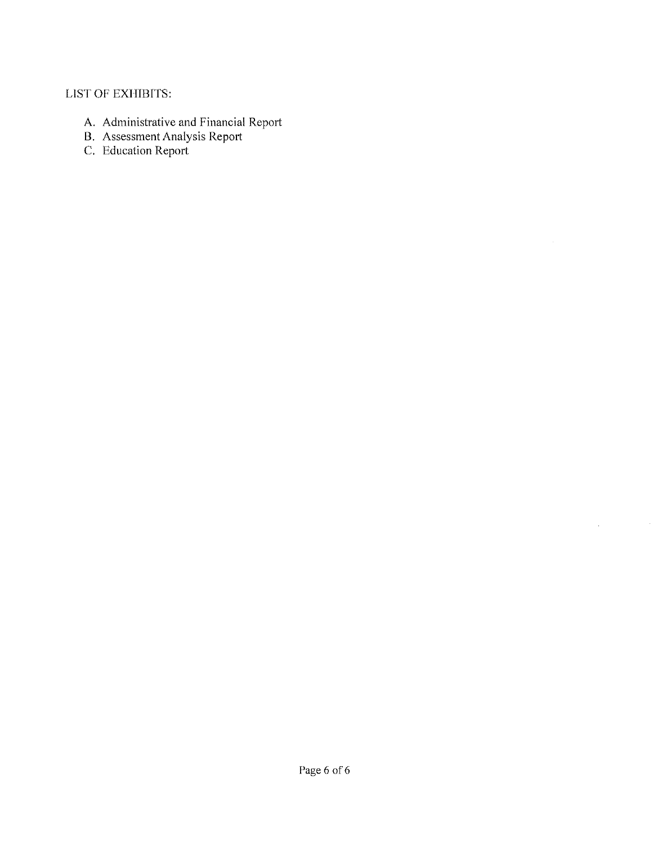# LIST OF EXHIBITS:

- A. Administrative and Financial Report
- B. Assessment Analysis Report
- C. Education Report

 $\sim 10^7$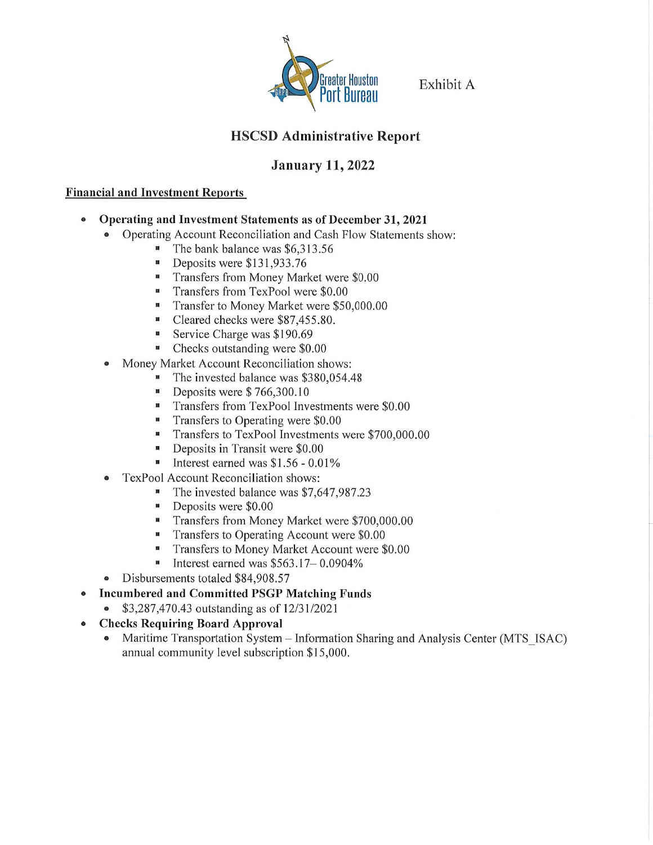

# HSCSD Administrative Report

# January 11,2022

# Financial and Investment Reports

- Operating and Investment Statements as of December 31, 2021
	- Operating Account Reconciliation and Cash Flow Statements show:
		- The bank balance was \$6,313.56
		- Deposits were \$131,933.76
		- **•** Transfers from Money Market were \$0.00
		- **F** Transfers from TexPool were \$0.00
		- **Transfer to Money Market were \$50,000.00**
		- Cleared checks were \$87,455.80.
		- **•** Service Charge was \$190.69
		- Checks outstanding were \$0.00
	- Money Market Account Reconciliation shows:
		- The invested balance was \$380,054.48
		- Deposits were \$766,300.10
		- **•** Transfers from TexPool Investments were \$0.00
		- **•** Transfers to Operating were \$0.00
		- **Transfers to TexPool Investments were \$700,000.00**
		- **•** Deposits in Transit were \$0.00
		- $\blacksquare$  Interest earned was \$1.56 0.01%
	- TexPooI Account Reconciliation shows:
		- The invested balance was \$7,647,987.23
		- Deposits were \$0.00
		- **F** Transfers from Money Market were \$700,000.00
		- **•** Transfers to Operating Account were \$0.00
		- **•** Transfers to Money Market Account were \$0.00
		- $\blacksquare$  Interest earned was \$563.17 0.0904%
	- Disbursements totaled \$84,908.57
- Incumbered and Committed PSGP Matching Funds
	- \$3,287,470.43 outstanding as of 12/31/2021
- Checks Requiring Board Approval
	- Maritime Transportation System Information Sharing and Analysis Center (MTS ISAC) annual community level subscription \$15,000.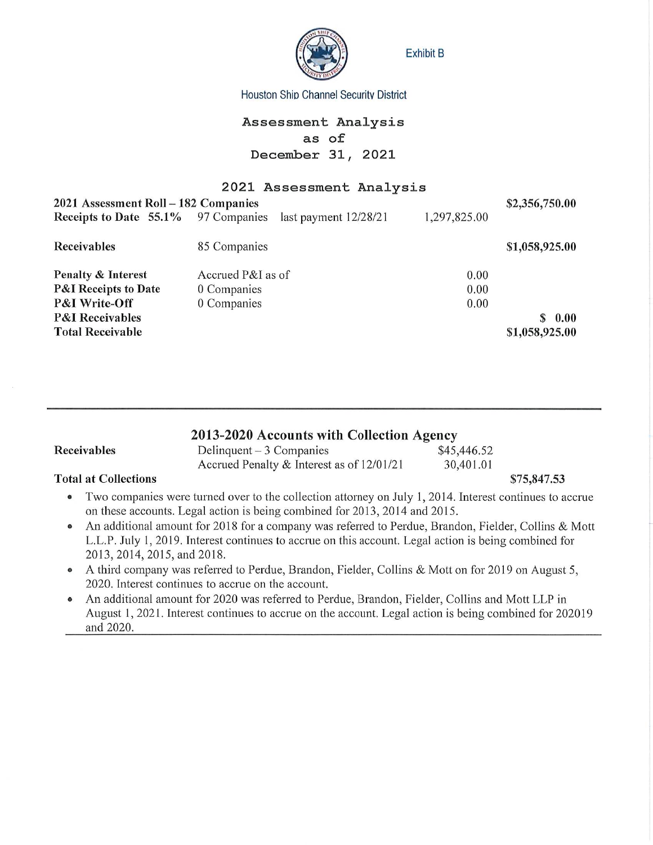

Exhibit B

Houston Shio Channel Security District

# Assessment Analysis as of December 31, 2021

# 2021 Assessment Analysis

| 2021 Assessment Roll – 182 Companies |                                         |              | \$2,356,750.00           |
|--------------------------------------|-----------------------------------------|--------------|--------------------------|
| Receipts to Date 55.1%               | last payment $12/28/21$<br>97 Companies | 1,297,825.00 |                          |
| <b>Receivables</b>                   | 85 Companies                            |              | \$1,058,925.00           |
| <b>Penalty &amp; Interest</b>        | Accrued P&I as of                       | 0.00         |                          |
| <b>P&amp;I Receipts to Date</b>      | 0 Companies                             | 0.00         |                          |
| <b>P&amp;I Write-Off</b>             | 0 Companies                             | 0.00         |                          |
| <b>P&amp;I</b> Receivables           |                                         |              | $\boldsymbol{0.00}$<br>Я |
| <b>Total Receivable</b>              |                                         |              | \$1,058,925.00           |

| 2013-2020 Accounts with Collection Agency |                                           |             |             |  |
|-------------------------------------------|-------------------------------------------|-------------|-------------|--|
| Receivables                               | Delinquent $-3$ Companies                 | \$45,446.52 |             |  |
|                                           | Accrued Penalty & Interest as of 12/01/21 | 30,401.01   |             |  |
| <b>Total at Collections</b>               |                                           |             | \$75,847.53 |  |

# • Two companies were turned over to the collection attorney on July 1, 2014. Interest continues to accrue on these accounts. Legal action is being combined for 2013, 2014 and 2015.

- An additional amount for 2018 for a company was referred to Perdue, Brandon, Fielder, Collins & Mott L.L.P. July 1, 2019. Interest continues to accrue on this account. Legal action is being combined for 2013, 2014, 2015, and 2018.
- A third company was referred to Perdue, Brandon, Fielder, Collins & Mott on for 2019 on August 5, 2020. Interest continues to accrue on the account.
- An additional amount for 2020 was referred to Perdue, Brandon, Fielder, Collins and Mott LLP in August 1, 2021. Interest continues to accrue on the account. Legal action is being combined for 202019 and 2020.